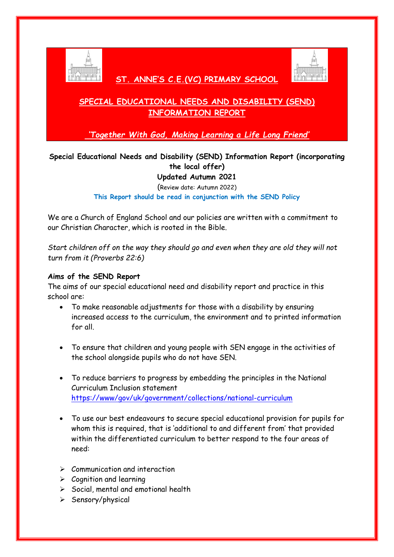

 **ST. ANNE'S C.E.(VC) PRIMARY SCHOOL** 



# **SPECIAL EDUCATIONAL NEEDS AND DISABILITY (SEND) INFORMATION REPORT**

*'Together With God, Making Learning a Life Long Friend'*

# **Special Educational Needs and Disability (SEND) Information Report (incorporating the local offer)**

**Updated Autumn 2021**

(Review date: Autumn 2022)

**This Report should be read in conjunction with the SEND Policy**

We are a Church of England School and our policies are written with a commitment to our Christian Character, which is rooted in the Bible.

*Start children off on the way they should go and even when they are old they will not turn from it (Proverbs 22:6)*

## **Aims of the SEND Report**

The aims of our special educational need and disability report and practice in this school are:

- To make reasonable adjustments for those with a disability by ensuring increased access to the curriculum, the environment and to printed information for all.
- To ensure that children and young people with SEN engage in the activities of the school alongside pupils who do not have SEN.
- To reduce barriers to progress by embedding the principles in the National Curriculum Inclusion statement <https://www/gov/uk/government/collections/national-curriculum>
- To use our best endeavours to secure special educational provision for pupils for whom this is required, that is 'additional to and different from' that provided within the differentiated curriculum to better respond to the four areas of need:
- $\triangleright$  Communication and interaction
- $\triangleright$  Cognition and learning
- $\triangleright$  Social, mental and emotional health
- $\triangleright$  Sensory/physical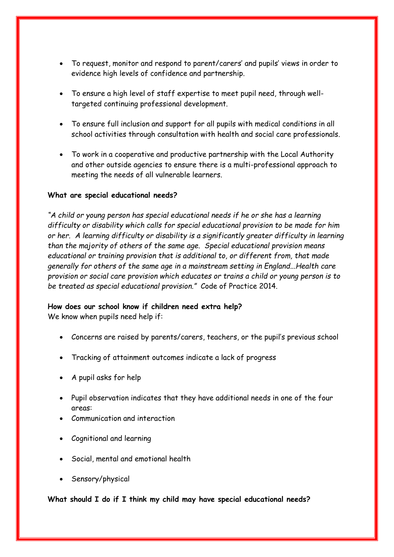- To request, monitor and respond to parent/carers' and pupils' views in order to evidence high levels of confidence and partnership.
- To ensure a high level of staff expertise to meet pupil need, through welltargeted continuing professional development.
- To ensure full inclusion and support for all pupils with medical conditions in all school activities through consultation with health and social care professionals.
- To work in a cooperative and productive partnership with the Local Authority and other outside agencies to ensure there is a multi-professional approach to meeting the needs of all vulnerable learners.

### **What are special educational needs?**

*"A child or young person has special educational needs if he or she has a learning difficulty or disability which calls for special educational provision to be made for him or her. A learning difficulty or disability is a significantly greater difficulty in learning than the majority of others of the same age. Special educational provision means educational or training provision that is additional to, or different from, that made generally for others of the same age in a mainstream setting in England...Health care provision or social care provision which educates or trains a child or young person is to be treated as special educational provision."* Code of Practice 2014.

#### **How does our school know if children need extra help?**

We know when pupils need help if:

- Concerns are raised by parents/carers, teachers, or the pupil's previous school
- Tracking of attainment outcomes indicate a lack of progress
- A pupil asks for help
- Pupil observation indicates that they have additional needs in one of the four areas:
- Communication and interaction
- Cognitional and learning
- Social, mental and emotional health
- Sensory/physical

**What should I do if I think my child may have special educational needs?**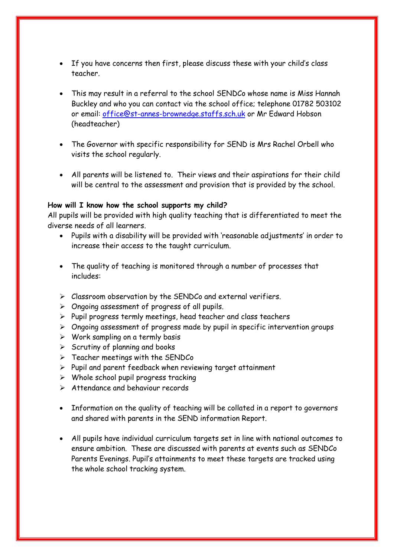- If you have concerns then first, please discuss these with your child's class teacher.
- This may result in a referral to the school SENDCo whose name is Miss Hannah Buckley and who you can contact via the school office; telephone 01782 503102 or email: [office@st-annes-brownedge.staffs.sch.uk](mailto:office@st-annes-brownedge.staffs.sch.uk) or Mr Edward Hobson (headteacher)
- The Governor with specific responsibility for SEND is Mrs Rachel Orbell who visits the school regularly.
- All parents will be listened to. Their views and their aspirations for their child will be central to the assessment and provision that is provided by the school.

#### **How will I know how the school supports my child?**

All pupils will be provided with high quality teaching that is differentiated to meet the diverse needs of all learners.

- Pupils with a disability will be provided with 'reasonable adjustments' in order to increase their access to the taught curriculum.
- The quality of teaching is monitored through a number of processes that includes:
- $\triangleright$  Classroom observation by the SENDCo and external verifiers.
- $\triangleright$  Ongoing assessment of progress of all pupils.
- $\triangleright$  Pupil progress termly meetings, head teacher and class teachers
- $\triangleright$  Ongoing assessment of progress made by pupil in specific intervention groups
- $\triangleright$  Work sampling on a termly basis
- $\triangleright$  Scrutiny of planning and books
- $\triangleright$  Teacher meetings with the SENDCo
- $\triangleright$  Pupil and parent feedback when reviewing target attainment
- $\triangleright$  Whole school pupil progress tracking
- Attendance and behaviour records
- Information on the quality of teaching will be collated in a report to governors and shared with parents in the SEND information Report.
- All pupils have individual curriculum targets set in line with national outcomes to ensure ambition. These are discussed with parents at events such as SENDCo Parents Evenings. Pupil's attainments to meet these targets are tracked using the whole school tracking system.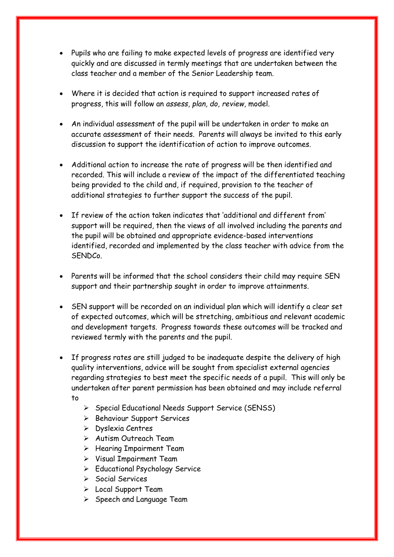- Pupils who are failing to make expected levels of progress are identified very quickly and are discussed in termly meetings that are undertaken between the class teacher and a member of the Senior Leadership team.
- Where it is decided that action is required to support increased rates of progress, this will follow an *assess, plan, do, review,* model.
- An individual assessment of the pupil will be undertaken in order to make an accurate assessment of their needs. Parents will always be invited to this early discussion to support the identification of action to improve outcomes.
- Additional action to increase the rate of progress will be then identified and recorded. This will include a review of the impact of the differentiated teaching being provided to the child and, if required, provision to the teacher of additional strategies to further support the success of the pupil.
- If review of the action taken indicates that 'additional and different from' support will be required, then the views of all involved including the parents and the pupil will be obtained and appropriate evidence-based interventions identified, recorded and implemented by the class teacher with advice from the SENDCo.
- Parents will be informed that the school considers their child may require SEN support and their partnership sought in order to improve attainments.
- SEN support will be recorded on an individual plan which will identify a clear set of expected outcomes, which will be stretching, ambitious and relevant academic and development targets. Progress towards these outcomes will be tracked and reviewed termly with the parents and the pupil.
- If progress rates are still judged to be inadequate despite the delivery of high quality interventions, advice will be sought from specialist external agencies regarding strategies to best meet the specific needs of a pupil. This will only be undertaken after parent permission has been obtained and may include referral to
	- Special Educational Needs Support Service (SENSS)
	- $\triangleright$  Behaviour Support Services
	- Dyslexia Centres
	- Autism Outreach Team
	- $\triangleright$  Hearing Impairment Team
	- $\triangleright$  Visual Impairment Team
	- Educational Psychology Service
	- $\triangleright$  Social Services
	- > Local Support Team
	- $\triangleright$  Speech and Language Team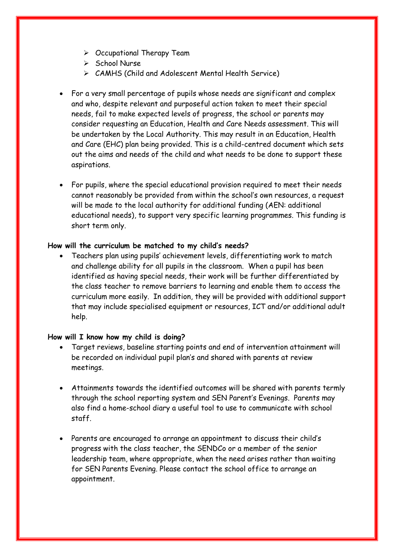- $\triangleright$  Occupational Therapy Team
- $\triangleright$  School Nurse
- CAMHS (Child and Adolescent Mental Health Service)
- For a very small percentage of pupils whose needs are significant and complex and who, despite relevant and purposeful action taken to meet their special needs, fail to make expected levels of progress, the school or parents may consider requesting an Education, Health and Care Needs assessment. This will be undertaken by the Local Authority. This may result in an Education, Health and Care (EHC) plan being provided. This is a child-centred document which sets out the aims and needs of the child and what needs to be done to support these aspirations.
- For pupils, where the special educational provision required to meet their needs cannot reasonably be provided from within the school's own resources, a request will be made to the local authority for additional funding (AEN: additional educational needs), to support very specific learning programmes. This funding is short term only.

#### **How will the curriculum be matched to my child's needs?**

 Teachers plan using pupils' achievement levels, differentiating work to match and challenge ability for all pupils in the classroom. When a pupil has been identified as having special needs, their work will be further differentiated by the class teacher to remove barriers to learning and enable them to access the curriculum more easily. In addition, they will be provided with additional support that may include specialised equipment or resources, ICT and/or additional adult help.

#### **How will I know how my child is doing?**

- Target reviews, baseline starting points and end of intervention attainment will be recorded on individual pupil plan's and shared with parents at review meetings.
- Attainments towards the identified outcomes will be shared with parents termly through the school reporting system and SEN Parent's Evenings. Parents may also find a home-school diary a useful tool to use to communicate with school staff.
- Parents are encouraged to arrange an appointment to discuss their child's progress with the class teacher, the SENDCo or a member of the senior leadership team, where appropriate, when the need arises rather than waiting for SEN Parents Evening. Please contact the school office to arrange an appointment.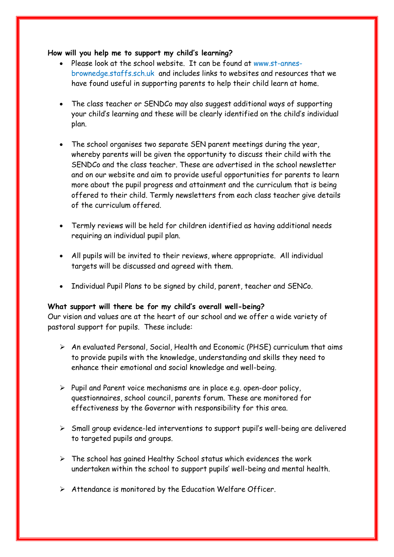#### **How will you help me to support my child's learning?**

- Please look at the school website. It can be found at www.st-annesbrownedge.staffs.sch.uk and includes links to websites and resources that we have found useful in supporting parents to help their child learn at home.
- The class teacher or SENDCo may also suggest additional ways of supporting your child's learning and these will be clearly identified on the child's individual plan.
- The school organises two separate SEN parent meetings during the year, whereby parents will be given the opportunity to discuss their child with the SENDCo and the class teacher. These are advertised in the school newsletter and on our website and aim to provide useful opportunities for parents to learn more about the pupil progress and attainment and the curriculum that is being offered to their child. Termly newsletters from each class teacher give details of the curriculum offered.
- Termly reviews will be held for children identified as having additional needs requiring an individual pupil plan.
- All pupils will be invited to their reviews, where appropriate. All individual targets will be discussed and agreed with them.
- Individual Pupil Plans to be signed by child, parent, teacher and SENCo.

### **What support will there be for my child's overall well-being?**

Our vision and values are at the heart of our school and we offer a wide variety of pastoral support for pupils. These include:

- $\triangleright$  An evaluated Personal, Social, Health and Economic (PHSE) curriculum that aims to provide pupils with the knowledge, understanding and skills they need to enhance their emotional and social knowledge and well-being.
- $\triangleright$  Pupil and Parent voice mechanisms are in place e.g. open-door policy, questionnaires, school council, parents forum. These are monitored for effectiveness by the Governor with responsibility for this area.
- $\triangleright$  Small group evidence-led interventions to support pupil's well-being are delivered to targeted pupils and groups.
- $\triangleright$  The school has gained Healthy School status which evidences the work undertaken within the school to support pupils' well-being and mental health.
- $\triangleright$  Attendance is monitored by the Education Welfare Officer.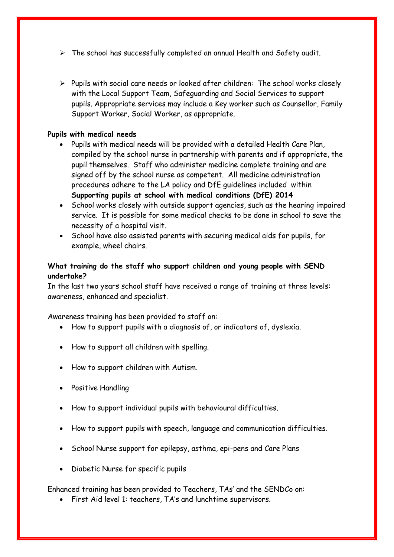- $\triangleright$  The school has successfully completed an annual Health and Safety audit.
- $\triangleright$  Pupils with social care needs or looked after children: The school works closely with the Local Support Team, Safeguarding and Social Services to support pupils. Appropriate services may include a Key worker such as Counsellor, Family Support Worker, Social Worker, as appropriate.

#### **Pupils with medical needs**

- Pupils with medical needs will be provided with a detailed Health Care Plan, compiled by the school nurse in partnership with parents and if appropriate, the pupil themselves. Staff who administer medicine complete training and are signed off by the school nurse as competent. All medicine administration procedures adhere to the LA policy and DfE guidelines included within **Supporting pupils at school with medical conditions (DfE) 2014**
- School works closely with outside support agencies, such as the hearing impaired service. It is possible for some medical checks to be done in school to save the necessity of a hospital visit.
- School have also assisted parents with securing medical aids for pupils, for example, wheel chairs.

## **What training do the staff who support children and young people with SEND undertake?**

In the last two years school staff have received a range of training at three levels: awareness, enhanced and specialist.

Awareness training has been provided to staff on:

- How to support pupils with a diagnosis of, or indicators of, dyslexia.
- How to support all children with spelling.
- How to support children with Autism.
- Positive Handling
- How to support individual pupils with behavioural difficulties.
- How to support pupils with speech, language and communication difficulties.
- School Nurse support for epilepsy, asthma, epi-pens and Care Plans
- Diabetic Nurse for specific pupils

Enhanced training has been provided to Teachers, TAs' and the SENDCo on:

First Aid level 1: teachers, TA's and lunchtime supervisors.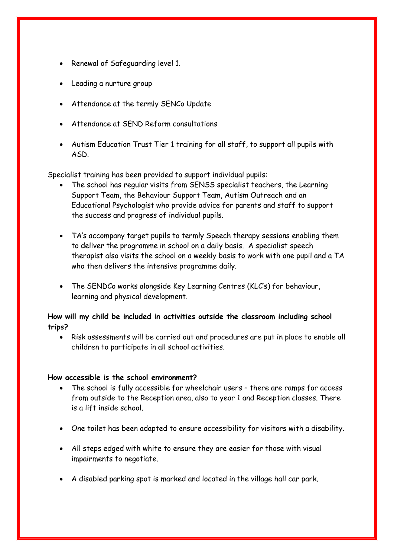- Renewal of Safeguarding level 1.
- Leading a nurture group
- Attendance at the termly SENCo Update
- Attendance at SEND Reform consultations
- Autism Education Trust Tier 1 training for all staff, to support all pupils with ASD.

Specialist training has been provided to support individual pupils:

- The school has regular visits from SENSS specialist teachers, the Learning Support Team, the Behaviour Support Team, Autism Outreach and an Educational Psychologist who provide advice for parents and staff to support the success and progress of individual pupils.
- TA's accompany target pupils to termly Speech therapy sessions enabling them to deliver the programme in school on a daily basis. A specialist speech therapist also visits the school on a weekly basis to work with one pupil and a TA who then delivers the intensive programme daily.
- The SENDCo works alongside Key Learning Centres (KLC's) for behaviour, learning and physical development.

**How will my child be included in activities outside the classroom including school trips?**

 Risk assessments will be carried out and procedures are put in place to enable all children to participate in all school activities.

#### **How accessible is the school environment?**

- The school is fully accessible for wheelchair users there are ramps for access from outside to the Reception area, also to year 1 and Reception classes. There is a lift inside school.
- One toilet has been adapted to ensure accessibility for visitors with a disability.
- All steps edged with white to ensure they are easier for those with visual impairments to negotiate.
- A disabled parking spot is marked and located in the village hall car park.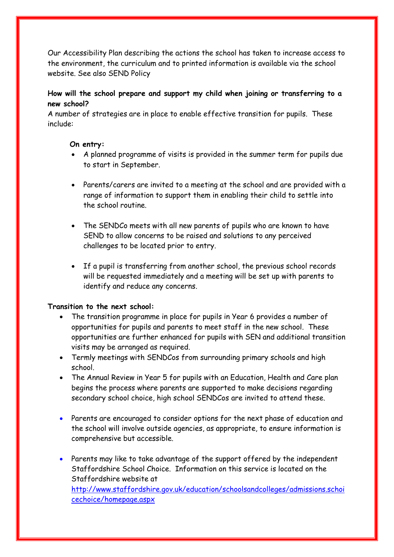Our Accessibility Plan describing the actions the school has taken to increase access to the environment, the curriculum and to printed information is available via the school website. See also SEND Policy

# **How will the school prepare and support my child when joining or transferring to a new school?**

A number of strategies are in place to enable effective transition for pupils. These include:

## **On entry:**

- A planned programme of visits is provided in the summer term for pupils due to start in September.
- Parents/carers are invited to a meeting at the school and are provided with a range of information to support them in enabling their child to settle into the school routine.
- The SENDCo meets with all new parents of pupils who are known to have SEND to allow concerns to be raised and solutions to any perceived challenges to be located prior to entry.
- If a pupil is transferring from another school, the previous school records will be requested immediately and a meeting will be set up with parents to identify and reduce any concerns.

### **Transition to the next school:**

- The transition programme in place for pupils in Year 6 provides a number of opportunities for pupils and parents to meet staff in the new school. These opportunities are further enhanced for pupils with SEN and additional transition visits may be arranged as required.
- Termly meetings with SENDCos from surrounding primary schools and high school.
- The Annual Review in Year 5 for pupils with an Education, Health and Care plan begins the process where parents are supported to make decisions regarding secondary school choice, high school SENDCos are invited to attend these.
- Parents are encouraged to consider options for the next phase of education and the school will involve outside agencies, as appropriate, to ensure information is comprehensive but accessible.
- Parents may like to take advantage of the support offered by the independent Staffordshire School Choice. Information on this service is located on the Staffordshire website at [http://www.staffordshire.gov.uk/education/schoolsandcolleges/admissions.schoi](http://www.staffordshire.gov.uk/education/schoolsandcolleges/admissions.schoicechoice/homepage.aspx) [cechoice/homepage.aspx](http://www.staffordshire.gov.uk/education/schoolsandcolleges/admissions.schoicechoice/homepage.aspx)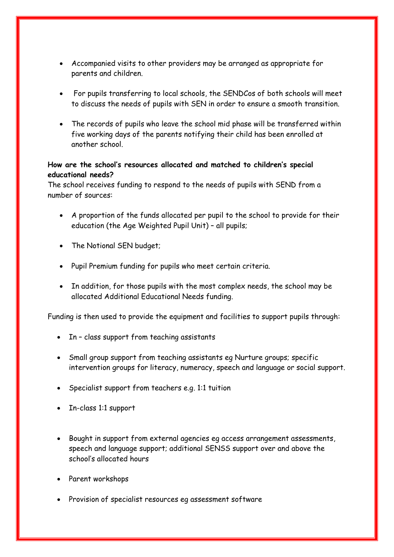- Accompanied visits to other providers may be arranged as appropriate for parents and children.
- For pupils transferring to local schools, the SENDCos of both schools will meet to discuss the needs of pupils with SEN in order to ensure a smooth transition.
- The records of pupils who leave the school mid phase will be transferred within five working days of the parents notifying their child has been enrolled at another school.

## **How are the school's resources allocated and matched to children's special educational needs?**

The school receives funding to respond to the needs of pupils with SEND from a number of sources:

- A proportion of the funds allocated per pupil to the school to provide for their education (the Age Weighted Pupil Unit) – all pupils;
- The Notional SEN budget;
- Pupil Premium funding for pupils who meet certain criteria.
- In addition, for those pupils with the most complex needs, the school may be allocated Additional Educational Needs funding.

Funding is then used to provide the equipment and facilities to support pupils through:

- In class support from teaching assistants
- Small group support from teaching assistants eg Nurture groups; specific intervention groups for literacy, numeracy, speech and language or social support.
- Specialist support from teachers e.g. 1:1 tuition
- In-class 1:1 support
- Bought in support from external agencies eg access arrangement assessments, speech and language support; additional SENSS support over and above the school's allocated hours
- Parent workshops
- Provision of specialist resources eg assessment software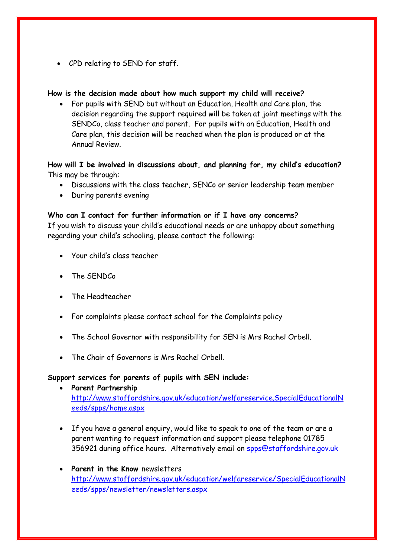CPD relating to SEND for staff.

#### **How is the decision made about how much support my child will receive?**

 For pupils with SEND but without an Education, Health and Care plan, the decision regarding the support required will be taken at joint meetings with the SENDCo, class teacher and parent. For pupils with an Education, Health and Care plan, this decision will be reached when the plan is produced or at the Annual Review.

## **How will I be involved in discussions about, and planning for, my child's education?** This may be through:

- Discussions with the class teacher, SENCo or senior leadership team member
- During parents evening

#### **Who can I contact for further information or if I have any concerns?**

If you wish to discuss your child's educational needs or are unhappy about something regarding your child's schooling, please contact the following:

- Your child's class teacher
- The SENDCo
- The Headteacher
- For complaints please contact school for the Complaints policy
- The School Governor with responsibility for SEN is Mrs Rachel Orbell.
- The Chair of Governors is Mrs Rachel Orbell.

### **Support services for parents of pupils with SEN include:**

- **Parent Partnership**  [http://www.staffordshire.gov.uk/education/welfareservice.SpecialEducationalN](http://www.staffordshire.gov.uk/education/welfareservice.SpecialEducationalNeeds/spps/home.aspx) [eeds/spps/home.aspx](http://www.staffordshire.gov.uk/education/welfareservice.SpecialEducationalNeeds/spps/home.aspx)
- If you have a general enquiry, would like to speak to one of the team or are a parent wanting to request information and support please telephone 01785 356921 during office hours. Alternatively email on spps@staffordshire.gov.uk
- **Parent in the Know** newsletters [http://www.staffordshire.gov.uk/education/welfareservice/SpecialEducationalN](http://www.staffordshire.gov.uk/education/welfareservice/SpecialEducationalNeeds/spps/newsletter/newsletters.aspx) [eeds/spps/newsletter/newsletters.aspx](http://www.staffordshire.gov.uk/education/welfareservice/SpecialEducationalNeeds/spps/newsletter/newsletters.aspx)